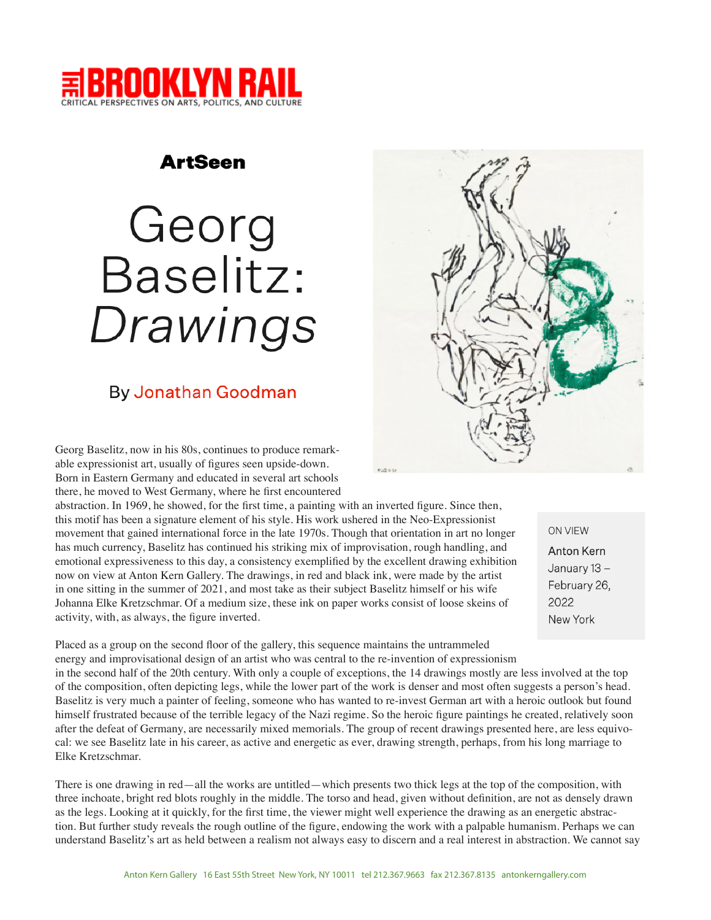

### **ArtSeen**

# Georg Baselitz: Drawings

## **By Jonathan Goodman**

Georg Baselitz, now in his 80s, continues to produce remarkable expressionist art, usually of figures seen upside-down. Born in Eastern Germany and educated in several art schools there, he moved to West Germany, where he first encountered

abstraction. In 1969, he showed, for the first time, a painting with an inverted figure. Since then, this motif has been a signature element of his style. His work ushered in the Neo-Expressionist movement that gained international force in the late 1970s. Though that orientation in art no longer has much currency, Baselitz has continued his striking mix of improvisation, rough handling, and emotional expressiveness to this day, a consistency exemplified by the excellent drawing exhibition now on view at Anton Kern Gallery. The drawings, in red and black ink, were made by the artist in one sitting in the summer of 2021, and most take as their subject Baselitz himself or his wife Johanna Elke Kretzschmar. Of a medium size, these ink on paper works consist of loose skeins of activity, with, as always, the figure inverted.

**ON VIEW** Anton Kern January 13 -February 26, 2022 New York

Placed as a group on the second floor of the gallery, this sequence maintains the untrammeled energy and improvisational design of an artist who was central to the re-invention of expressionism in the second half of the 20th century. With only a couple of exceptions, the 14 drawings mostly are less involved at the top of the composition, often depicting legs, while the lower part of the work is denser and most often suggests a person's head. Baselitz is very much a painter of feeling, someone who has wanted to re-invest German art with a heroic outlook but found himself frustrated because of the terrible legacy of the Nazi regime. So the heroic figure paintings he created, relatively soon after the defeat of Germany, are necessarily mixed memorials. The group of recent drawings presented here, are less equivocal: we see Baselitz late in his career, as active and energetic as ever, drawing strength, perhaps, from his long marriage to Elke Kretzschmar.

There is one drawing in red—all the works are untitled—which presents two thick legs at the top of the composition, with three inchoate, bright red blots roughly in the middle. The torso and head, given without definition, are not as densely drawn as the legs. Looking at it quickly, for the first time, the viewer might well experience the drawing as an energetic abstraction. But further study reveals the rough outline of the figure, endowing the work with a palpable humanism. Perhaps we can understand Baselitz's art as held between a realism not always easy to discern and a real interest in abstraction. We cannot say